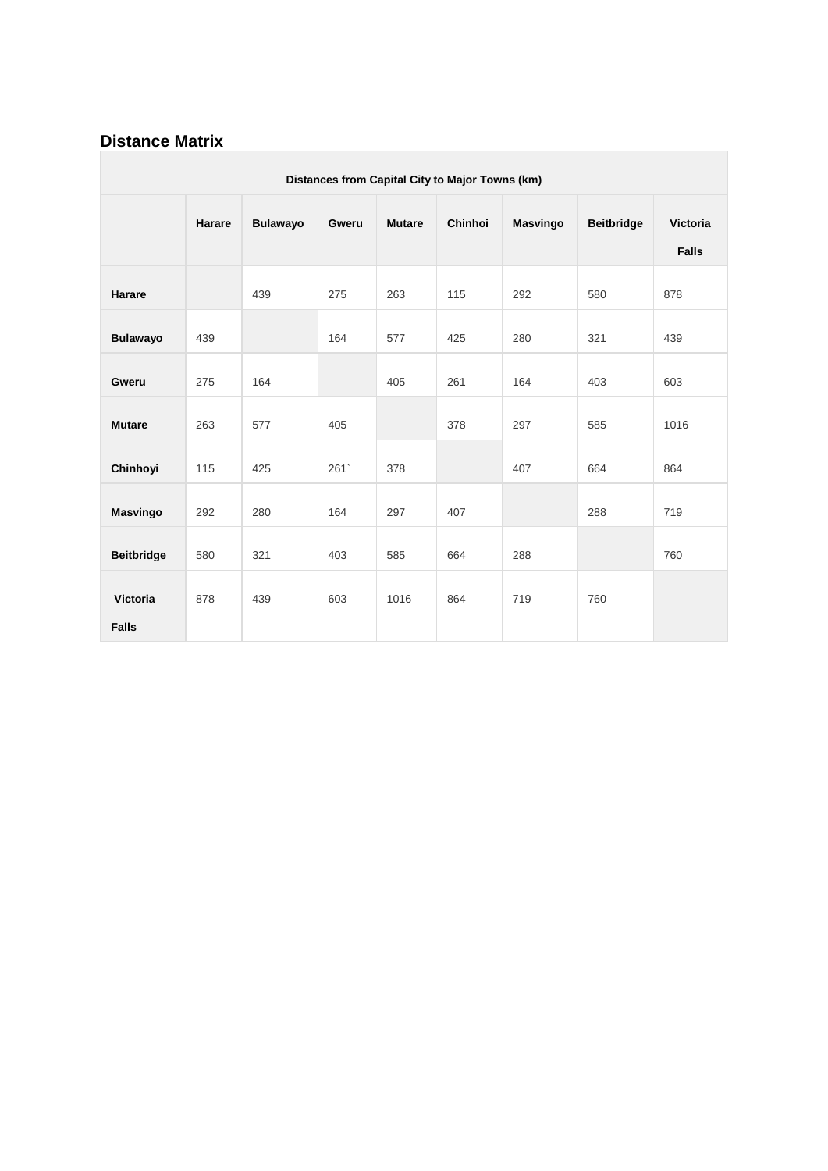## **Distance Matrix**

|                          | Distances from Capital City to Major Towns (km) |                 |       |               |         |                 |                   |                          |  |  |
|--------------------------|-------------------------------------------------|-----------------|-------|---------------|---------|-----------------|-------------------|--------------------------|--|--|
|                          | Harare                                          | <b>Bulawayo</b> | Gweru | <b>Mutare</b> | Chinhoi | <b>Masvingo</b> | <b>Beitbridge</b> | Victoria<br><b>Falls</b> |  |  |
| Harare                   |                                                 | 439             | 275   | 263           | 115     | 292             | 580               | 878                      |  |  |
| <b>Bulawayo</b>          | 439                                             |                 | 164   | 577           | 425     | 280             | 321               | 439                      |  |  |
| Gweru                    | 275                                             | 164             |       | 405           | 261     | 164             | 403               | 603                      |  |  |
| <b>Mutare</b>            | 263                                             | 577             | 405   |               | 378     | 297             | 585               | 1016                     |  |  |
| Chinhoyi                 | 115                                             | 425             | 261   | 378           |         | 407             | 664               | 864                      |  |  |
| <b>Masvingo</b>          | 292                                             | 280             | 164   | 297           | 407     |                 | 288               | 719                      |  |  |
| <b>Beitbridge</b>        | 580                                             | 321             | 403   | 585           | 664     | 288             |                   | 760                      |  |  |
| Victoria<br><b>Falls</b> | 878                                             | 439             | 603   | 1016          | 864     | 719             | 760               |                          |  |  |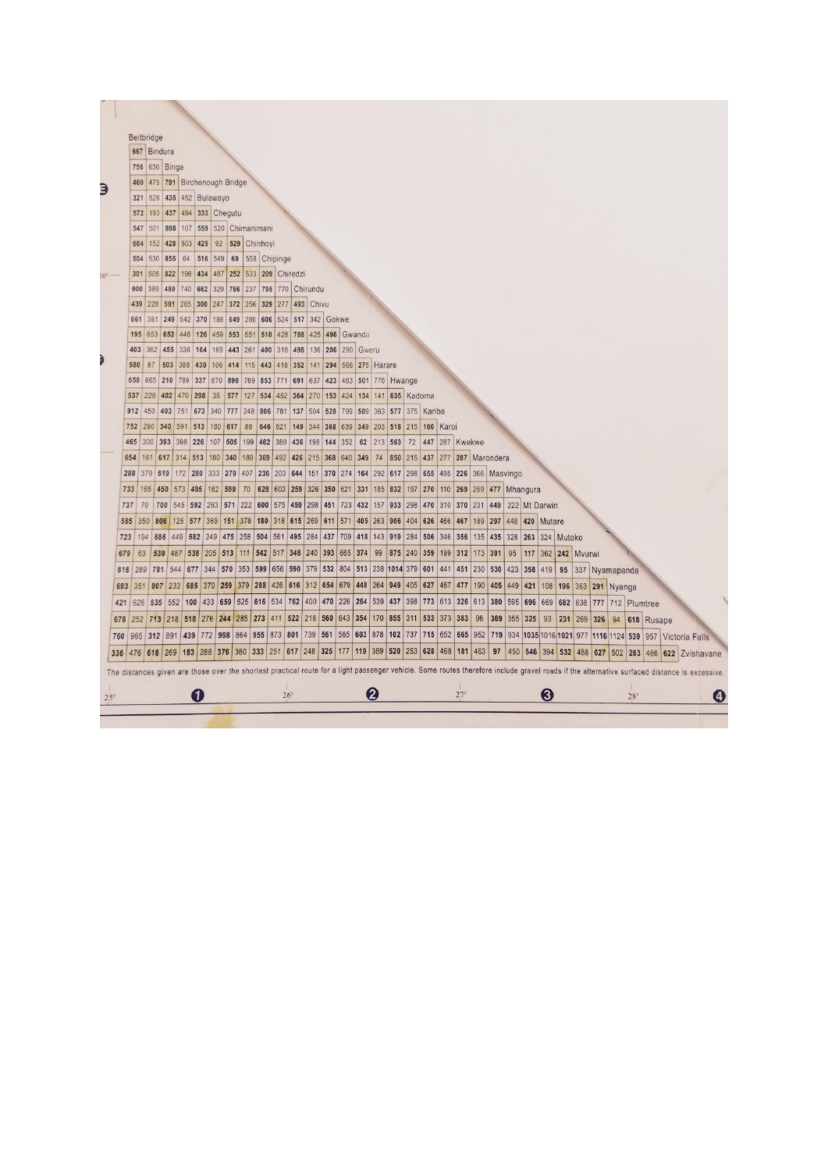|            |     |     | Beitbridge                     |             |             |                      |                         |         |              |                                                                     |            |                     |                   |     |                    |                        |                    |                                   |     |             |                |         |                  |                |         |               |                    |  |                                                                                                                                                                                             |            |  |   |
|------------|-----|-----|--------------------------------|-------------|-------------|----------------------|-------------------------|---------|--------------|---------------------------------------------------------------------|------------|---------------------|-------------------|-----|--------------------|------------------------|--------------------|-----------------------------------|-----|-------------|----------------|---------|------------------|----------------|---------|---------------|--------------------|--|---------------------------------------------------------------------------------------------------------------------------------------------------------------------------------------------|------------|--|---|
|            |     |     | 667 Bindura                    |             |             |                      |                         |         |              |                                                                     |            |                     |                   |     |                    |                        |                    |                                   |     |             |                |         |                  |                |         |               |                    |  |                                                                                                                                                                                             |            |  |   |
|            |     |     | 756 630 Binga                  |             |             |                      |                         |         |              |                                                                     |            |                     |                   |     |                    |                        |                    |                                   |     |             |                |         |                  |                |         |               |                    |  |                                                                                                                                                                                             |            |  |   |
|            |     |     | 460 475 791 Birchenough Bridge |             |             |                      |                         |         |              |                                                                     |            |                     |                   |     |                    |                        |                    |                                   |     |             |                |         |                  |                |         |               |                    |  |                                                                                                                                                                                             |            |  |   |
|            |     | 321 |                                |             |             | 526 435 452 Bulawayo |                         |         |              |                                                                     |            |                     |                   |     |                    |                        |                    |                                   |     |             |                |         |                  |                |         |               |                    |  |                                                                                                                                                                                             |            |  |   |
|            |     | 572 |                                |             |             |                      | 193 437 494 333 Chegutu |         |              |                                                                     |            |                     |                   |     |                    |                        |                    |                                   |     |             |                |         |                  |                |         |               |                    |  |                                                                                                                                                                                             |            |  |   |
|            |     | 547 |                                | 501 898 107 |             | 559                  | 520 Chimanimani         |         |              |                                                                     |            |                     |                   |     |                    |                        |                    |                                   |     |             |                |         |                  |                |         |               |                    |  |                                                                                                                                                                                             |            |  |   |
|            |     | 664 |                                | 152 428 503 |             | 425                  | 92                      |         | 529 Chinhoyi |                                                                     |            |                     |                   |     |                    |                        |                    |                                   |     |             |                |         |                  |                |         |               |                    |  |                                                                                                                                                                                             |            |  |   |
|            |     | 504 | 530 855                        |             | 64          | 516 549              |                         | 69      |              | 558 Chipinge                                                        |            |                     |                   |     |                    |                        |                    |                                   |     |             |                |         |                  |                |         |               |                    |  |                                                                                                                                                                                             |            |  |   |
|            |     | 301 | 505 822 196                    |             |             |                      |                         |         |              | 434 487 252 533 209 Chiredzi                                        |            |                     |                   |     |                    |                        |                    |                                   |     |             |                |         |                  |                |         |               |                    |  |                                                                                                                                                                                             |            |  |   |
|            |     | 900 | 389                            | 489         | 740         | 662                  |                         |         |              | 329 766 237 795 770 Chirundu                                        |            |                     |                   |     |                    |                        |                    |                                   |     |             |                |         |                  |                |         |               |                    |  |                                                                                                                                                                                             |            |  |   |
|            |     | 439 | 228                            | 591         | 265         | 300                  | 247                     | 372     |              | 256 329 277                                                         |            | 493 Chivu           |                   |     |                    |                        |                    |                                   |     |             |                |         |                  |                |         |               |                    |  |                                                                                                                                                                                             |            |  |   |
|            |     | 661 | 381 249                        |             | 542         | 370                  |                         |         |              | 188 649 280 606 524 517 342 Gokwe                                   |            |                     |                   |     |                    |                        |                    |                                   |     |             |                |         |                  |                |         |               |                    |  |                                                                                                                                                                                             |            |  |   |
|            |     |     | 195 653 652 446 126            |             |             |                      |                         |         |              | 459 553 551 510 428 788 425 496 Gwanda                              |            |                     |                   |     |                    |                        |                    |                                   |     |             |                |         |                  |                |         |               |                    |  |                                                                                                                                                                                             |            |  |   |
|            |     | 403 | 362                            |             | 455 336 164 |                      | 169 443 261             |         |              | 400                                                                 | 318 498    |                     | 136 206 290 Gweru |     |                    |                        |                    |                                   |     |             |                |         |                  |                |         |               |                    |  |                                                                                                                                                                                             |            |  |   |
|            |     | 580 | 87                             | 503         | 388         | 439                  | 106 414                 |         |              | 115 443 418 352                                                     |            | 141                 |                   |     | 294 566 275 Harare |                        |                    |                                   |     |             |                |         |                  |                |         |               |                    |  |                                                                                                                                                                                             |            |  |   |
|            |     | 658 | 865                            | 210         | 789         | 337                  | 670 896                 |         | 769<br>853   |                                                                     | 771 691    | 637                 | 423               |     |                    |                        | 463 501 776 Hwange |                                   |     |             |                |         |                  |                |         |               |                    |  |                                                                                                                                                                                             |            |  |   |
|            |     | 537 | 228                            | 402 470     |             | 298                  | 35<br>577               |         | 127          | 534 452 364                                                         |            | 270                 | 153               |     | 424 134 141        |                        |                    | 635 Kadoma                        |     |             |                |         |                  |                |         |               |                    |  |                                                                                                                                                                                             |            |  |   |
|            |     | 912 | 450                            |             |             |                      |                         |         |              | 403 751 673 340 777 248 806 781                                     | 137        | 504                 | 528               | 799 | 509 363            |                        |                    | 577 375 Kariba                    |     |             |                |         |                  |                |         |               |                    |  |                                                                                                                                                                                             |            |  |   |
|            |     | 752 | 290 340 591 513                |             |             |                      | 180 617                 |         | 88           | 646 621                                                             | 149        | 344                 |                   |     |                    |                        |                    | 368 639 349 203 518 215 160 Karoi |     |             |                |         |                  |                |         |               |                    |  |                                                                                                                                                                                             |            |  |   |
|            |     | 465 | 300                            | 393 398     |             | 226                  | 107 505                 |         |              | 199 462 380                                                         | 436        | 198                 | 144               | 352 | 62                 | 213                    | 563                | 72                                |     |             | 447 287 Kwekwe |         |                  |                |         |               |                    |  |                                                                                                                                                                                             |            |  |   |
|            | 654 |     | 161 617 314 513 180 340 189    |             |             |                      |                         |         | 369          |                                                                     |            | 492 426 215 368 640 |                   |     | 349                | 74                     | 850                | 215 437 277 287 Marondera         |     |             |                |         |                  |                |         |               |                    |  |                                                                                                                                                                                             |            |  |   |
|            | 288 |     | 379 619                        |             | 172         | 280<br>333           | 279                     | 407     | 236          |                                                                     | 203 644    | 151                 | 370               | 274 | 164                | 292                    | 617                | 298                               | 655 | 495 226     |                |         | 366 Masvingo     |                |         |               |                    |  |                                                                                                                                                                                             |            |  |   |
|            | 733 |     | 165                            | 450<br>573  | 495         | 162                  | 599                     | 70      | 628          | 603                                                                 | 259        | 326                 | 350               | 621 | 331                | 185                    | 832                | 197                               | 270 | 110 269     |                |         | 259 477 Mhangura |                |         |               |                    |  |                                                                                                                                                                                             |            |  |   |
|            | 737 |     | 70                             | 700         |             |                      | 545 592 263 571         | 222     | 600          |                                                                     | 575 459    | 298                 | 451               | 723 | 432                | 157                    | 933                | 298                               | 470 | 310 370     |                | 231 449 |                  |                |         | 222 Mt Darwin |                    |  |                                                                                                                                                                                             |            |  |   |
|            | 585 |     | 350                            |             |             |                      | 806 125 577 369 151 378 |         |              | 180 318 615                                                         |            | 269                 | 611 571           |     |                    |                        | 405 263 906 404    |                                   | 626 | 466 467     |                |         | 189 297          | 448 420 Mutare |         |               |                    |  |                                                                                                                                                                                             |            |  |   |
|            | 723 |     | 194                            |             |             | 686 449 582 249      | 475                     | 258     |              | 504 561 495                                                         |            | 284                 | 437 709           |     |                    |                        | 418 143 919 284    |                                   | 506 | 346 356     |                |         | 135 435          |                |         |               | 328 263 324 Mutoko |  |                                                                                                                                                                                             |            |  |   |
|            | 679 | 63  | 539                            | 487         |             | 538 205              |                         | 513 111 |              | 542 517                                                             |            | 348 240             | 393 665           |     | 374                | 99                     |                    | 875 240                           | 359 | 199 312     |                |         | 173 391          | 95             |         |               | 117 362 242 Mvurwi |  |                                                                                                                                                                                             |            |  |   |
|            | 818 | 289 | 781                            | 544         | 677         | 344                  | 570                     | 353     |              | 599 656                                                             | 590        | 379                 | 532               | 804 | 513 238            |                        | 1014 379           |                                   | 601 | 441         | 451            | 230     | 530              | 423            | 358     | 419           | 95                 |  | 337 Nyamapanda                                                                                                                                                                              |            |  |   |
|            | 693 |     | 351 807                        | 233         | 685         | 370                  | 259                     | 379     |              | 288 426                                                             |            | 616 312 654         |                   | 679 | 448 264            |                        | 949                | 405                               | 627 | 467         | 477            | 190     | 405              | 449            | 421     |               | 108 196 363        |  | 291 Nyanga                                                                                                                                                                                  |            |  |   |
|            | 421 |     | 626 535                        |             |             |                      | 552 100 433 659         | 525     | 616          | 534                                                                 | 762        | 400                 | 470               | 226 | 264                | 539                    | 437                | 398                               |     | 773 613 326 |                | 613     | 380              | 595            | 696     | 669           | 682                |  | 638 777 712 Plumtree                                                                                                                                                                        |            |  |   |
|            | 678 |     | 252 713 218 518 276 244        |             |             |                      |                         | 285     | 273          | 411                                                                 | 522        | 218                 | 560               | 643 | 354                | 170                    | 855                | 311                               | 533 | 373         | 383            | 96      | 369              |                | 355 325 | 93            | 231 269 326        |  | 94                                                                                                                                                                                          | 618 Rusape |  |   |
|            | 760 |     | 965 312 891                    |             | 439         | 772                  | 998                     |         |              | 864 955 873                                                         | 801        | 739                 | 561               |     | 565 603 878        |                        | 102                | 737                               |     | 715 652     | 665            | 952     | 719              |                |         |               |                    |  | 934 1035 1016 1021 977 1116 1124 539 957 Victoria Falls                                                                                                                                     |            |  |   |
|            | 336 |     | 476 618 269                    |             |             |                      |                         |         |              | 183 288 376 380 333 251 617 248 325 177 119 389 520 253 628 468 181 |            |                     |                   |     |                    |                        |                    |                                   |     |             |                | 463     | 97               |                |         |               |                    |  | 450 546 394 532 488 627 502 283 466 622 Zvishavane                                                                                                                                          |            |  |   |
|            |     |     |                                |             |             |                      |                         |         |              |                                                                     |            |                     |                   |     |                    |                        |                    |                                   |     |             |                |         |                  |                |         |               |                    |  | The distances given are those over the shortest practical route for a light passenger vehicle. Some routes therefore include gravel roads if the alternative surfaced distance is excessive |            |  |   |
|            |     |     |                                |             |             |                      |                         |         |              |                                                                     |            |                     |                   |     |                    |                        |                    |                                   |     |             |                |         |                  |                |         |               |                    |  |                                                                                                                                                                                             |            |  |   |
| $25^\circ$ |     |     |                                |             |             | 0                    |                         |         |              |                                                                     | $26^\circ$ |                     |                   |     |                    | $\boldsymbol{\varrho}$ |                    |                                   |     |             | $27^\circ$     |         |                  |                |         | ல             |                    |  |                                                                                                                                                                                             | $28^\circ$ |  | 4 |
|            |     |     |                                |             |             |                      |                         |         |              |                                                                     |            |                     |                   |     |                    |                        |                    |                                   |     |             |                |         |                  |                |         |               |                    |  |                                                                                                                                                                                             |            |  |   |
|            |     |     |                                |             |             |                      |                         |         |              |                                                                     |            |                     |                   |     |                    |                        |                    |                                   |     |             |                |         |                  |                |         |               |                    |  |                                                                                                                                                                                             |            |  |   |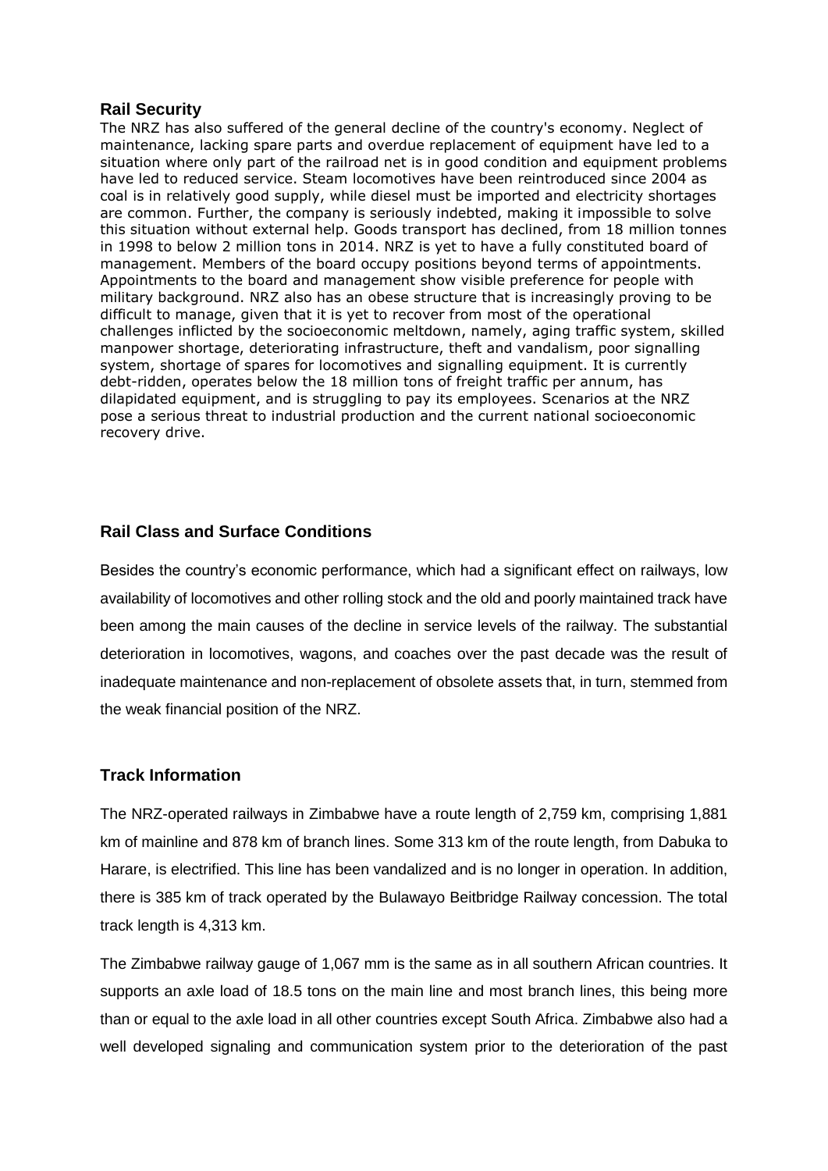#### **Rail Security**

The NRZ has also suffered of the general decline of the country's economy. Neglect of maintenance, lacking spare parts and overdue replacement of equipment have led to a situation where only part of the railroad net is in good condition and equipment problems have led to reduced service. Steam locomotives have been reintroduced since 2004 as coal is in relatively good supply, while diesel must be imported and electricity shortages are common. Further, the company is seriously indebted, making it impossible to solve this situation without external help. Goods transport has declined, from 18 million tonnes in 1998 to below 2 million tons in 2014. NRZ is yet to have a fully constituted board of management. Members of the board occupy positions beyond terms of appointments. Appointments to the board and management show visible preference for people with military background. NRZ also has an obese structure that is increasingly proving to be difficult to manage, given that it is yet to recover from most of the operational challenges inflicted by the socioeconomic meltdown, namely, aging traffic system, skilled manpower shortage, deteriorating infrastructure, theft and vandalism, poor signalling system, shortage of spares for locomotives and signalling equipment. It is currently debt-ridden, operates below the 18 million tons of freight traffic per annum, has dilapidated equipment, and is struggling to pay its employees. Scenarios at the NRZ pose a serious threat to industrial production and the current national socioeconomic recovery drive.

#### **Rail Class and Surface Conditions**

Besides the country's economic performance, which had a significant effect on railways, low availability of locomotives and other rolling stock and the old and poorly maintained track have been among the main causes of the decline in service levels of the railway. The substantial deterioration in locomotives, wagons, and coaches over the past decade was the result of inadequate maintenance and non-replacement of obsolete assets that, in turn, stemmed from the weak financial position of the NRZ.

#### **Track Information**

The NRZ-operated railways in Zimbabwe have a route length of 2,759 km, comprising 1,881 km of mainline and 878 km of branch lines. Some 313 km of the route length, from Dabuka to Harare, is electrified. This line has been vandalized and is no longer in operation. In addition, there is 385 km of track operated by the Bulawayo Beitbridge Railway concession. The total track length is 4,313 km.

The Zimbabwe railway gauge of 1,067 mm is the same as in all southern African countries. It supports an axle load of 18.5 tons on the main line and most branch lines, this being more than or equal to the axle load in all other countries except South Africa. Zimbabwe also had a well developed signaling and communication system prior to the deterioration of the past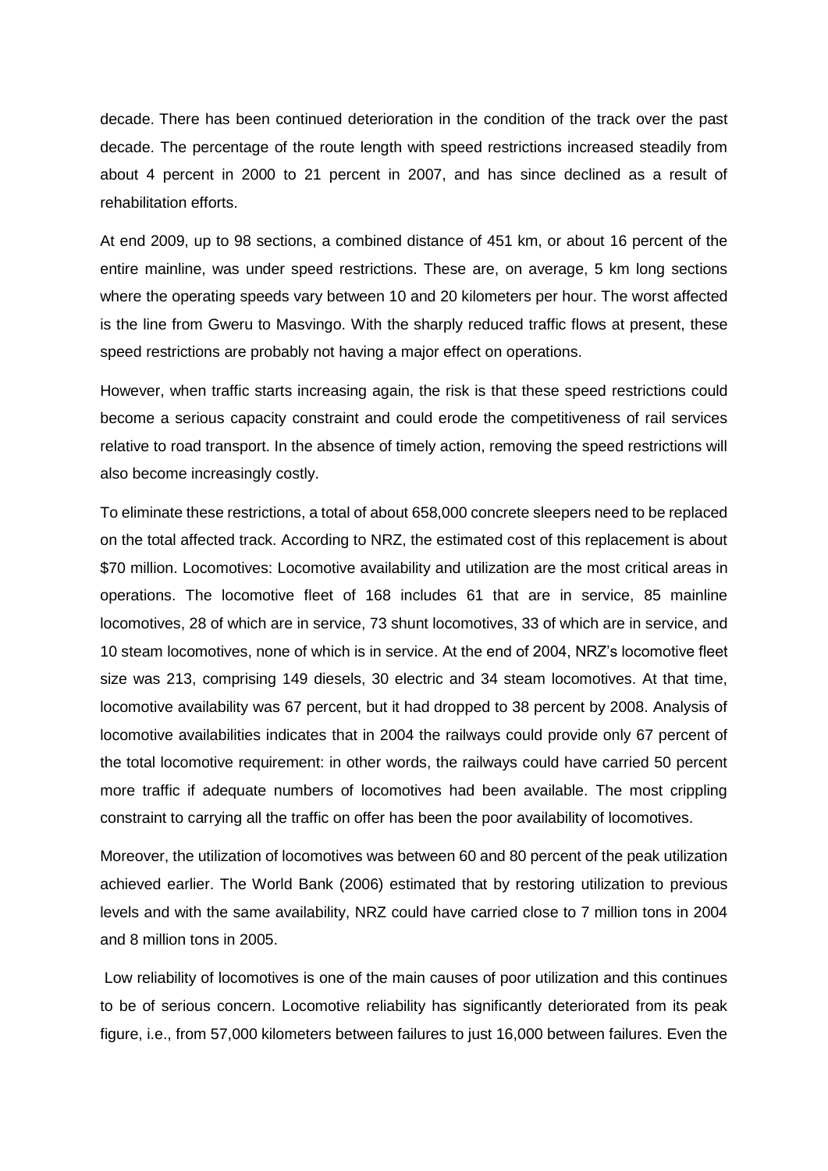decade. There has been continued deterioration in the condition of the track over the past decade. The percentage of the route length with speed restrictions increased steadily from about 4 percent in 2000 to 21 percent in 2007, and has since declined as a result of rehabilitation efforts.

At end 2009, up to 98 sections, a combined distance of 451 km, or about 16 percent of the entire mainline, was under speed restrictions. These are, on average, 5 km long sections where the operating speeds vary between 10 and 20 kilometers per hour. The worst affected is the line from Gweru to Masvingo. With the sharply reduced traffic flows at present, these speed restrictions are probably not having a major effect on operations.

However, when traffic starts increasing again, the risk is that these speed restrictions could become a serious capacity constraint and could erode the competitiveness of rail services relative to road transport. In the absence of timely action, removing the speed restrictions will also become increasingly costly.

To eliminate these restrictions, a total of about 658,000 concrete sleepers need to be replaced on the total affected track. According to NRZ, the estimated cost of this replacement is about \$70 million. Locomotives: Locomotive availability and utilization are the most critical areas in operations. The locomotive fleet of 168 includes 61 that are in service, 85 mainline locomotives, 28 of which are in service, 73 shunt locomotives, 33 of which are in service, and 10 steam locomotives, none of which is in service. At the end of 2004, NRZ's locomotive fleet size was 213, comprising 149 diesels, 30 electric and 34 steam locomotives. At that time, locomotive availability was 67 percent, but it had dropped to 38 percent by 2008. Analysis of locomotive availabilities indicates that in 2004 the railways could provide only 67 percent of the total locomotive requirement: in other words, the railways could have carried 50 percent more traffic if adequate numbers of locomotives had been available. The most crippling constraint to carrying all the traffic on offer has been the poor availability of locomotives.

Moreover, the utilization of locomotives was between 60 and 80 percent of the peak utilization achieved earlier. The World Bank (2006) estimated that by restoring utilization to previous levels and with the same availability, NRZ could have carried close to 7 million tons in 2004 and 8 million tons in 2005.

Low reliability of locomotives is one of the main causes of poor utilization and this continues to be of serious concern. Locomotive reliability has significantly deteriorated from its peak figure, i.e., from 57,000 kilometers between failures to just 16,000 between failures. Even the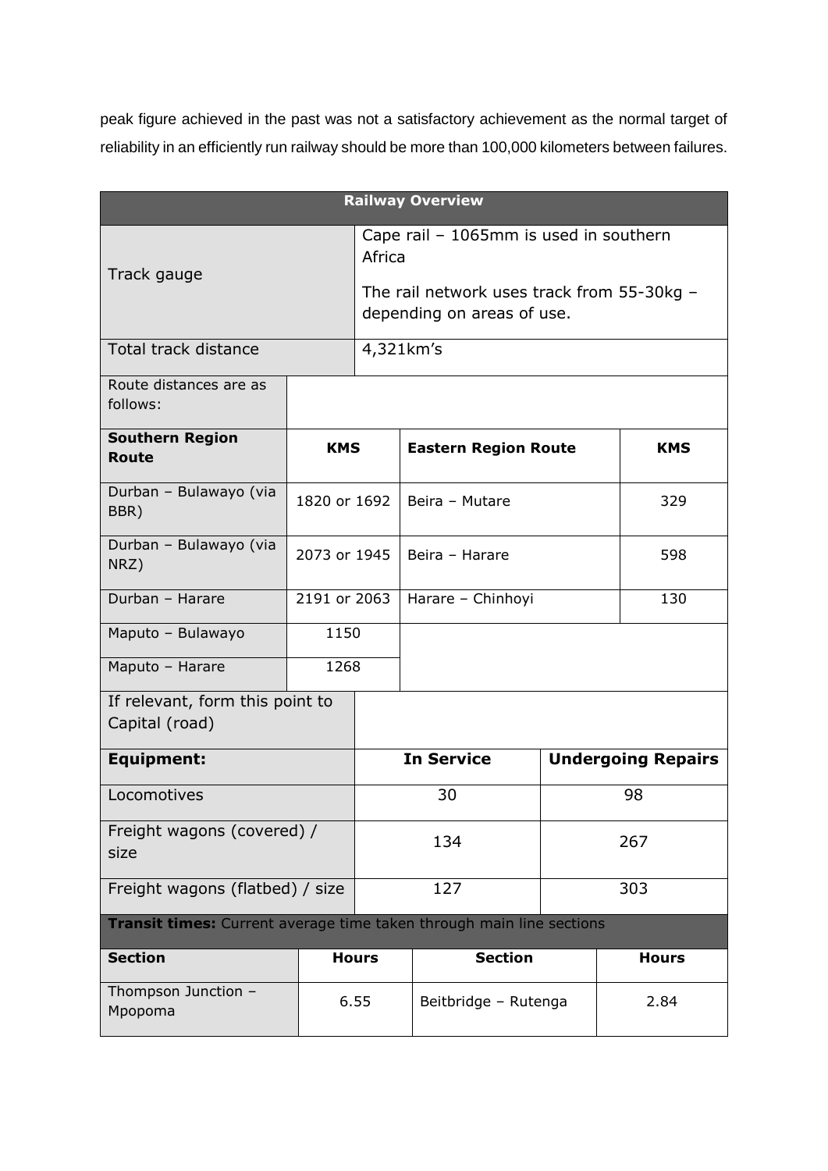peak figure achieved in the past was not a satisfactory achievement as the normal target of reliability in an efficiently run railway should be more than 100,000 kilometers between failures.

|                                                                      |              |              | <b>Railway Overview</b>                                                  |     |      |  |  |  |
|----------------------------------------------------------------------|--------------|--------------|--------------------------------------------------------------------------|-----|------|--|--|--|
| Track gauge                                                          |              |              | Cape rail - 1065mm is used in southern<br>Africa                         |     |      |  |  |  |
|                                                                      |              |              | The rail network uses track from 55-30kg -<br>depending on areas of use. |     |      |  |  |  |
| Total track distance                                                 |              |              | 4,321km's                                                                |     |      |  |  |  |
| Route distances are as<br>follows:                                   |              |              |                                                                          |     |      |  |  |  |
| <b>Southern Region</b><br><b>Route</b>                               | <b>KMS</b>   |              | <b>Eastern Region Route</b>                                              |     | KMS  |  |  |  |
| Durban - Bulawayo (via<br>BBR)                                       | 1820 or 1692 |              | Beira - Mutare                                                           | 329 |      |  |  |  |
| Durban - Bulawayo (via<br>NRZ)                                       | 2073 or 1945 |              | Beira - Harare                                                           |     | 598  |  |  |  |
| Durban - Harare                                                      | 2191 or 2063 |              | Harare - Chinhoyi                                                        |     | 130  |  |  |  |
| Maputo - Bulawayo                                                    | 1150         |              |                                                                          |     |      |  |  |  |
| Maputo - Harare                                                      | 1268         |              |                                                                          |     |      |  |  |  |
| If relevant, form this point to<br>Capital (road)                    |              |              |                                                                          |     |      |  |  |  |
| <b>Equipment:</b>                                                    |              |              | <b>In Service</b><br><b>Undergoing Repairs</b>                           |     |      |  |  |  |
| Locomotives                                                          |              |              | 30                                                                       |     | 98   |  |  |  |
| Freight wagons (covered) /<br>size                                   |              |              | 134                                                                      |     | 267  |  |  |  |
| Freight wagons (flatbed) / size                                      |              |              | 127                                                                      |     | 303  |  |  |  |
| Transit times: Current average time taken through main line sections |              |              |                                                                          |     |      |  |  |  |
| <b>Section</b>                                                       |              | <b>Hours</b> | <b>Section</b>                                                           |     |      |  |  |  |
| Thompson Junction -<br>6.55<br>Mpopoma                               |              |              | Beitbridge - Rutenga                                                     |     | 2.84 |  |  |  |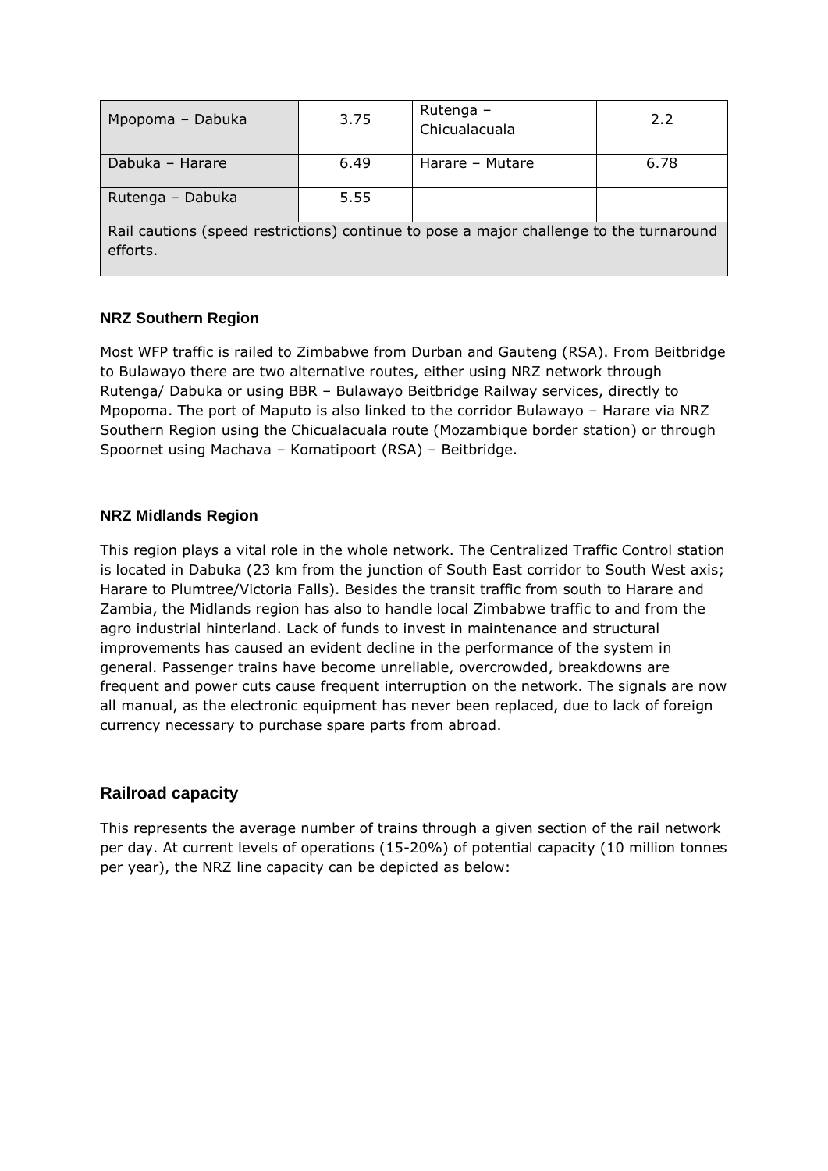| Mpopoma - Dabuka                                                                                    | 3.75 | Rutenga -<br>Chicualacuala | 2.2  |  |  |  |
|-----------------------------------------------------------------------------------------------------|------|----------------------------|------|--|--|--|
| Dabuka - Harare                                                                                     | 6.49 | Harare - Mutare            | 6.78 |  |  |  |
| Rutenga - Dabuka                                                                                    | 5.55 |                            |      |  |  |  |
| Rail cautions (speed restrictions) continue to pose a major challenge to the turnaround<br>efforts. |      |                            |      |  |  |  |

#### **NRZ Southern Region**

Most WFP traffic is railed to Zimbabwe from Durban and Gauteng (RSA). From Beitbridge to Bulawayo there are two alternative routes, either using NRZ network through Rutenga/ Dabuka or using BBR – Bulawayo Beitbridge Railway services, directly to Mpopoma. The port of Maputo is also linked to the corridor Bulawayo – Harare via NRZ Southern Region using the Chicualacuala route (Mozambique border station) or through Spoornet using Machava – Komatipoort (RSA) – Beitbridge.

#### **NRZ Midlands Region**

This region plays a vital role in the whole network. The Centralized Traffic Control station is located in Dabuka (23 km from the junction of South East corridor to South West axis; Harare to Plumtree/Victoria Falls). Besides the transit traffic from south to Harare and Zambia, the Midlands region has also to handle local Zimbabwe traffic to and from the agro industrial hinterland. Lack of funds to invest in maintenance and structural improvements has caused an evident decline in the performance of the system in general. Passenger trains have become unreliable, overcrowded, breakdowns are frequent and power cuts cause frequent interruption on the network. The signals are now all manual, as the electronic equipment has never been replaced, due to lack of foreign currency necessary to purchase spare parts from abroad.

## **Railroad capacity**

This represents the average number of trains through a given section of the rail network per day. At current levels of operations (15-20%) of potential capacity (10 million tonnes per year), the NRZ line capacity can be depicted as below: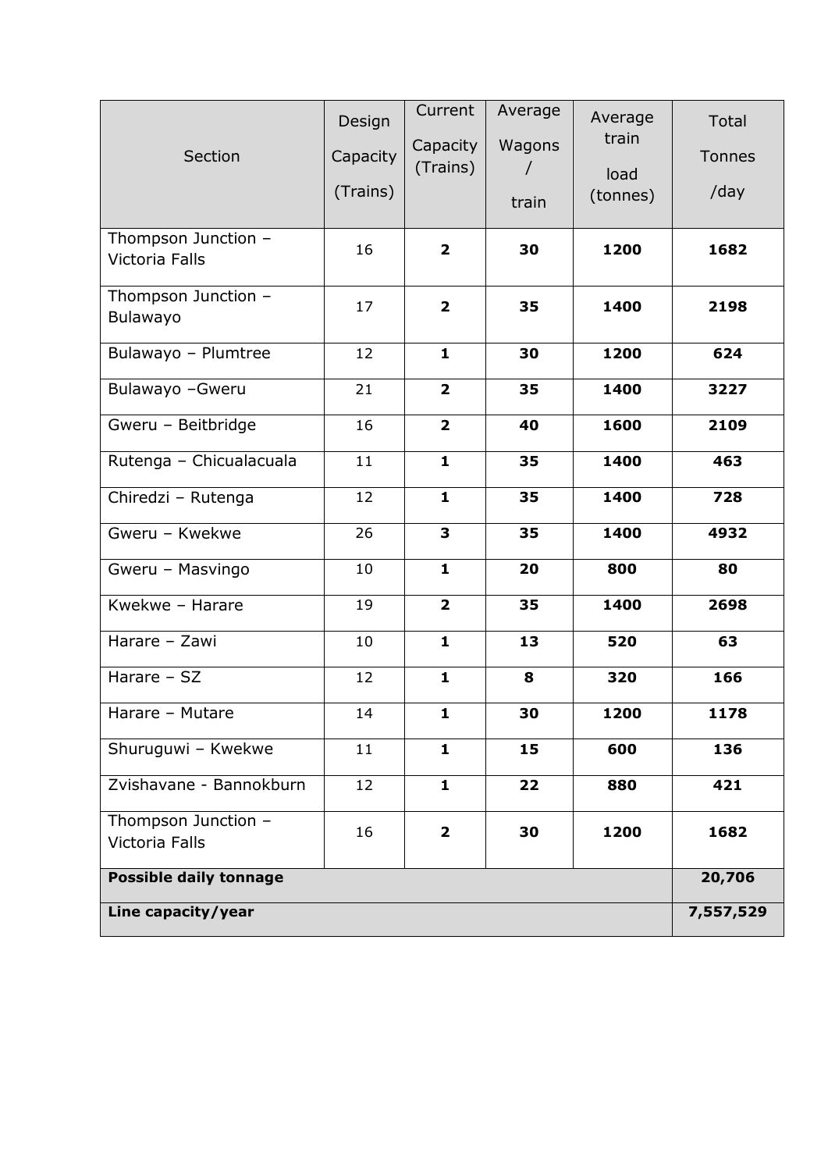| Section                               | Design<br>Capacity<br>(Trains) | Current<br>Capacity<br>(Trains) | Average<br>Wagons<br>$\prime$<br>train | Average<br>train<br>load<br>(tonnes) | Total<br>Tonnes<br>/day |
|---------------------------------------|--------------------------------|---------------------------------|----------------------------------------|--------------------------------------|-------------------------|
| Thompson Junction -<br>Victoria Falls | 16                             | $\overline{\mathbf{2}}$         | 30                                     | 1200                                 | 1682                    |
| Thompson Junction -<br>Bulawayo       | 17                             | $\overline{\mathbf{2}}$         | 35                                     | 1400                                 | 2198                    |
| Bulawayo - Plumtree                   | 12                             | $\mathbf{1}$                    | 30                                     | 1200                                 | 624                     |
| Bulawayo - Gweru                      | 21                             | $\overline{\mathbf{2}}$         | 35                                     | 1400                                 | 3227                    |
| Gweru - Beitbridge                    | 16                             | $\overline{\mathbf{2}}$         | 40                                     | 1600                                 | 2109                    |
| Rutenga - Chicualacuala               | 11                             | $\mathbf{1}$                    | 35                                     | 1400                                 | 463                     |
| Chiredzi - Rutenga                    | 12                             | $\mathbf{1}$                    | 35                                     | 1400                                 | 728                     |
| Gweru - Kwekwe                        | 26                             | $\overline{\mathbf{3}}$         | 35                                     | 1400                                 | 4932                    |
| Gweru - Masvingo                      | 10                             | $\mathbf{1}$                    | 20                                     | 800                                  | 80                      |
| Kwekwe - Harare                       | 19                             | $\overline{\mathbf{2}}$         | 35                                     | 1400                                 | 2698                    |
| Harare - Zawi                         | 10                             | $\mathbf{1}$                    | 13                                     | 520                                  | 63                      |
| Harare - SZ                           | 12                             | $\mathbf{1}$                    | 8                                      | 320                                  | 166                     |
| Harare - Mutare                       | 14                             | $\mathbf{1}$                    | 30                                     | 1200                                 | 1178                    |
| Shuruguwi - Kwekwe                    | 11                             | $\mathbf{1}$                    | 15                                     | 600                                  | 136                     |
| Zvishavane - Bannokburn               | 12                             | $\mathbf{1}$                    | 22                                     | 880                                  | 421                     |
| Thompson Junction -<br>Victoria Falls | 16                             | $\overline{2}$                  | 30                                     | 1200                                 | 1682                    |
| <b>Possible daily tonnage</b>         |                                |                                 |                                        |                                      | 20,706                  |
| Line capacity/year                    |                                |                                 |                                        |                                      | 7,557,529               |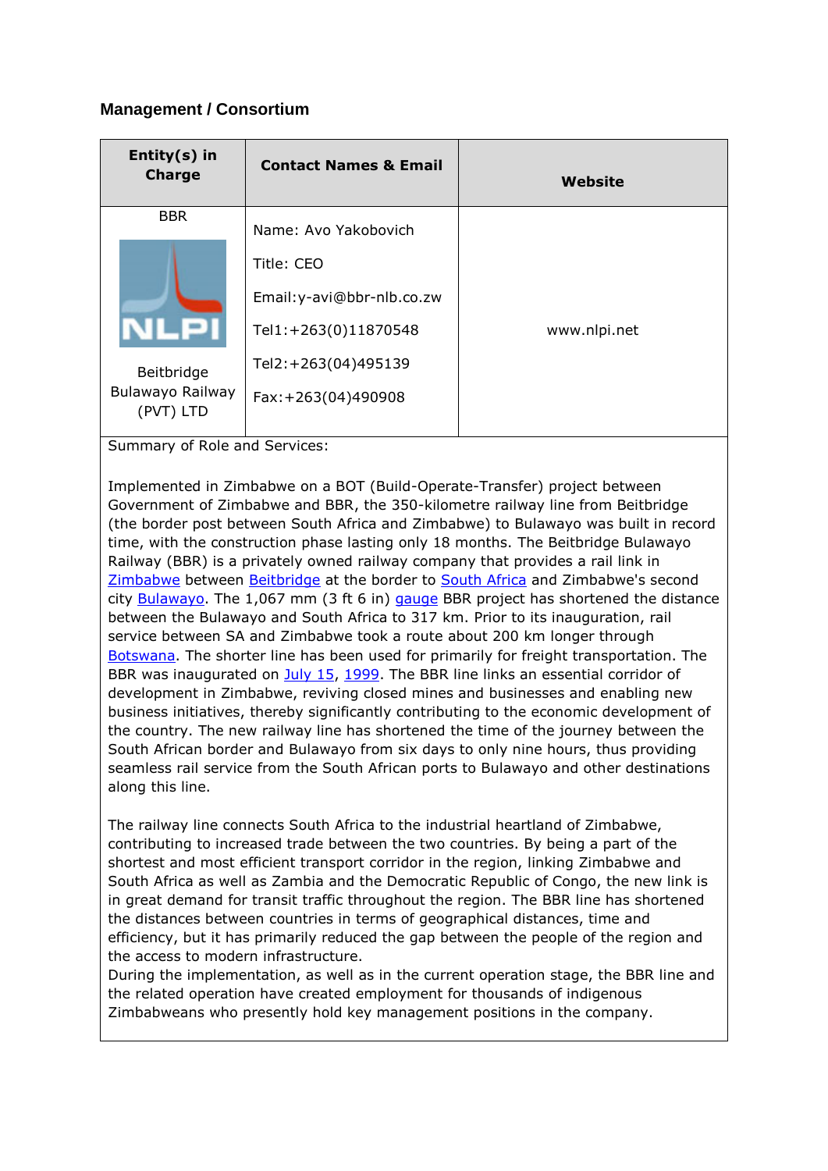## **Management / Consortium**

| Entity $(s)$ in<br><b>Charge</b> | <b>Contact Names &amp; Email</b> | Website      |
|----------------------------------|----------------------------------|--------------|
| <b>BBR</b>                       | Name: Avo Yakobovich             |              |
|                                  | Title: CEO                       |              |
|                                  | Email: y-avi@bbr-nlb.co.zw       |              |
|                                  | Tel1:+263(0)11870548             | www.nlpi.net |
| Beitbridge                       | Tel2:+263(04)495139              |              |
| Bulawayo Railway<br>(PVT) LTD    | Fax: +263(04)490908              |              |

Summary of Role and Services:

Implemented in Zimbabwe on a BOT (Build-Operate-Transfer) project between Government of Zimbabwe and BBR, the 350-kilometre railway line from Beitbridge (the border post between South Africa and Zimbabwe) to Bulawayo was built in record time, with the construction phase lasting only 18 months. The Beitbridge Bulawayo Railway (BBR) is a privately owned railway company that provides a rail link in [Zimbabwe](http://en.wikipedia.org/wiki/Zimbabwe) between [Beitbridge](http://en.wikipedia.org/wiki/Beitbridge) at the border to [South Africa](http://en.wikipedia.org/wiki/South_Africa) and Zimbabwe's second city [Bulawayo.](http://en.wikipedia.org/wiki/Bulawayo) The 1,067 mm  $(3 ft 6 in)$  [gauge](http://en.wikipedia.org/wiki/Rail_gauge) BBR project has shortened the distance between the Bulawayo and South Africa to 317 km. Prior to its inauguration, rail service between SA and Zimbabwe took a route about 200 km longer through [Botswana.](http://en.wikipedia.org/wiki/Botswana) The shorter line has been used for primarily for freight transportation. The BBR was inaugurated on [July 15,](http://en.wikipedia.org/wiki/July_15) [1999.](http://en.wikipedia.org/wiki/1999) The BBR line links an essential corridor of development in Zimbabwe, reviving closed mines and businesses and enabling new business initiatives, thereby significantly contributing to the economic development of the country. The new railway line has shortened the time of the journey between the South African border and Bulawayo from six days to only nine hours, thus providing seamless rail service from the South African ports to Bulawayo and other destinations along this line.

The railway line connects South Africa to the industrial heartland of Zimbabwe, contributing to increased trade between the two countries. By being a part of the shortest and most efficient transport corridor in the region, linking Zimbabwe and South Africa as well as Zambia and the Democratic Republic of Congo, the new link is in great demand for transit traffic throughout the region. The BBR line has shortened the distances between countries in terms of geographical distances, time and efficiency, but it has primarily reduced the gap between the people of the region and the access to modern infrastructure.

During the implementation, as well as in the current operation stage, the BBR line and the related operation have created employment for thousands of indigenous Zimbabweans who presently hold key management positions in the company.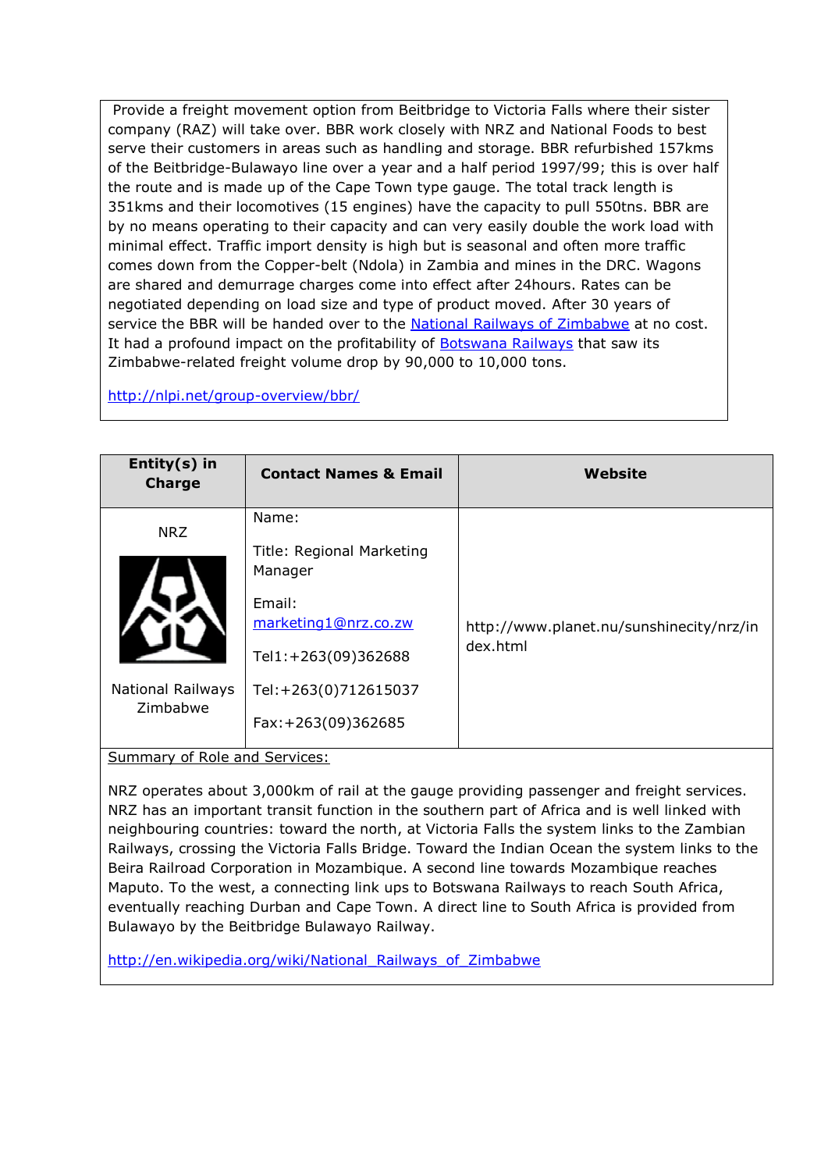Provide a freight movement option from Beitbridge to Victoria Falls where their sister company (RAZ) will take over. BBR work closely with NRZ and National Foods to best serve their customers in areas such as handling and storage. BBR refurbished 157kms of the Beitbridge-Bulawayo line over a year and a half period 1997/99; this is over half the route and is made up of the Cape Town type gauge. The total track length is 351kms and their locomotives (15 engines) have the capacity to pull 550tns. BBR are by no means operating to their capacity and can very easily double the work load with minimal effect. Traffic import density is high but is seasonal and often more traffic comes down from the Copper-belt (Ndola) in Zambia and mines in the DRC. Wagons are shared and demurrage charges come into effect after 24hours. Rates can be negotiated depending on load size and type of product moved. After 30 years of service the BBR will be handed over to the [National Railways of Zimbabwe](http://en.wikipedia.org/wiki/National_Railways_of_Zimbabwe) at no cost. It had a profound impact on the profitability of [Botswana Railways](http://en.wikipedia.org/wiki/Botswana_Railways) that saw its Zimbabwe-related freight volume drop by 90,000 to 10,000 tons.

#### http://nlpi.net/group-overview/bbr/

| Entity $(s)$ in<br><b>Charge</b>                   | <b>Contact Names &amp; Email</b>                                                                                                                      | Website                                              |
|----------------------------------------------------|-------------------------------------------------------------------------------------------------------------------------------------------------------|------------------------------------------------------|
| <b>NRZ</b><br><b>National Railways</b><br>Zimbabwe | Name:<br>Title: Regional Marketing<br>Manager<br>Email:<br>marketing1@nrz.co.zw<br>Tel1:+263(09)362688<br>Tel:+263(0)712615037<br>Fax: +263(09)362685 | http://www.planet.nu/sunshinecity/nrz/in<br>dex.html |

Summary of Role and Services:

NRZ operates about 3,000km of rail at the gauge providing passenger and freight services. NRZ has an important transit function in the southern part of Africa and is well linked with neighbouring countries: toward the north, at Victoria Falls the system links to the Zambian Railways, crossing the Victoria Falls Bridge. Toward the Indian Ocean the system links to the Beira Railroad Corporation in Mozambique. A second line towards Mozambique reaches Maputo. To the west, a connecting link ups to Botswana Railways to reach South Africa, eventually reaching Durban and Cape Town. A direct line to South Africa is provided from Bulawayo by the Beitbridge Bulawayo Railway.

http://en.wikipedia.org/wiki/National\_Railways\_of\_Zimbabwe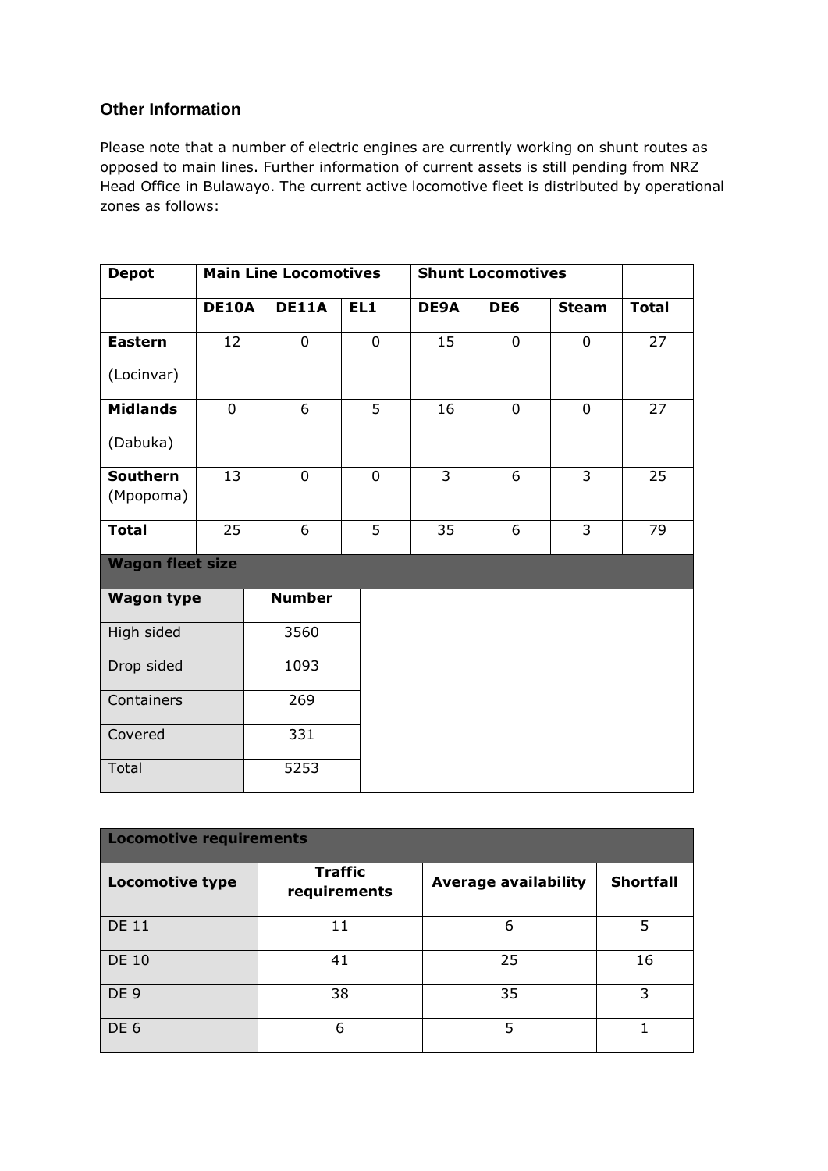## **Other Information**

Please note that a number of electric engines are currently working on shunt routes as opposed to main lines. Further information of current assets is still pending from NRZ Head Office in Bulawayo. The current active locomotive fleet is distributed by operational zones as follows:

| <b>Depot</b>            |                | <b>Main Line Locomotives</b> |                |                | <b>Shunt Locomotives</b> |                |              |
|-------------------------|----------------|------------------------------|----------------|----------------|--------------------------|----------------|--------------|
|                         | <b>DE10A</b>   | <b>DE11A</b>                 | EL1            | DE9A           | DE6                      | <b>Steam</b>   | <b>Total</b> |
| <b>Eastern</b>          | 12             | 0                            | $\mathbf 0$    | 15             | $\mathbf 0$              | 0              | 27           |
| (Locinvar)              |                |                              |                |                |                          |                |              |
| <b>Midlands</b>         | $\overline{0}$ | 6                            | $\overline{5}$ | 16             | $\overline{0}$           | $\overline{0}$ | 27           |
| (Dabuka)                |                |                              |                |                |                          |                |              |
| Southern                | 13             | $\mathbf 0$                  | $\overline{0}$ | $\overline{3}$ | 6                        | $\overline{3}$ | 25           |
| (Mpopoma)               |                |                              |                |                |                          |                |              |
| <b>Total</b>            | 25             | 6                            | 5              | 35             | 6                        | $\overline{3}$ | 79           |
| <b>Wagon fleet size</b> |                |                              |                |                |                          |                |              |
| <b>Wagon type</b>       |                | <b>Number</b>                |                |                |                          |                |              |
| High sided              |                | 3560                         |                |                |                          |                |              |
| Drop sided              |                | 1093                         |                |                |                          |                |              |
| Containers              |                | 269                          |                |                |                          |                |              |
| Covered                 |                | 331                          |                |                |                          |                |              |
| Total                   |                | 5253                         |                |                |                          |                |              |

| <b>Locomotive requirements</b> |                                |                             |                  |  |  |  |  |
|--------------------------------|--------------------------------|-----------------------------|------------------|--|--|--|--|
| <b>Locomotive type</b>         | <b>Traffic</b><br>requirements | <b>Average availability</b> | <b>Shortfall</b> |  |  |  |  |
| <b>DE 11</b>                   | 11                             | 6                           | 5                |  |  |  |  |
| <b>DE 10</b>                   | 41                             | 25                          | 16               |  |  |  |  |
| DE <sub>9</sub>                | 38                             | 35                          | 3                |  |  |  |  |
| DE <sub>6</sub>                | 6                              | 5                           |                  |  |  |  |  |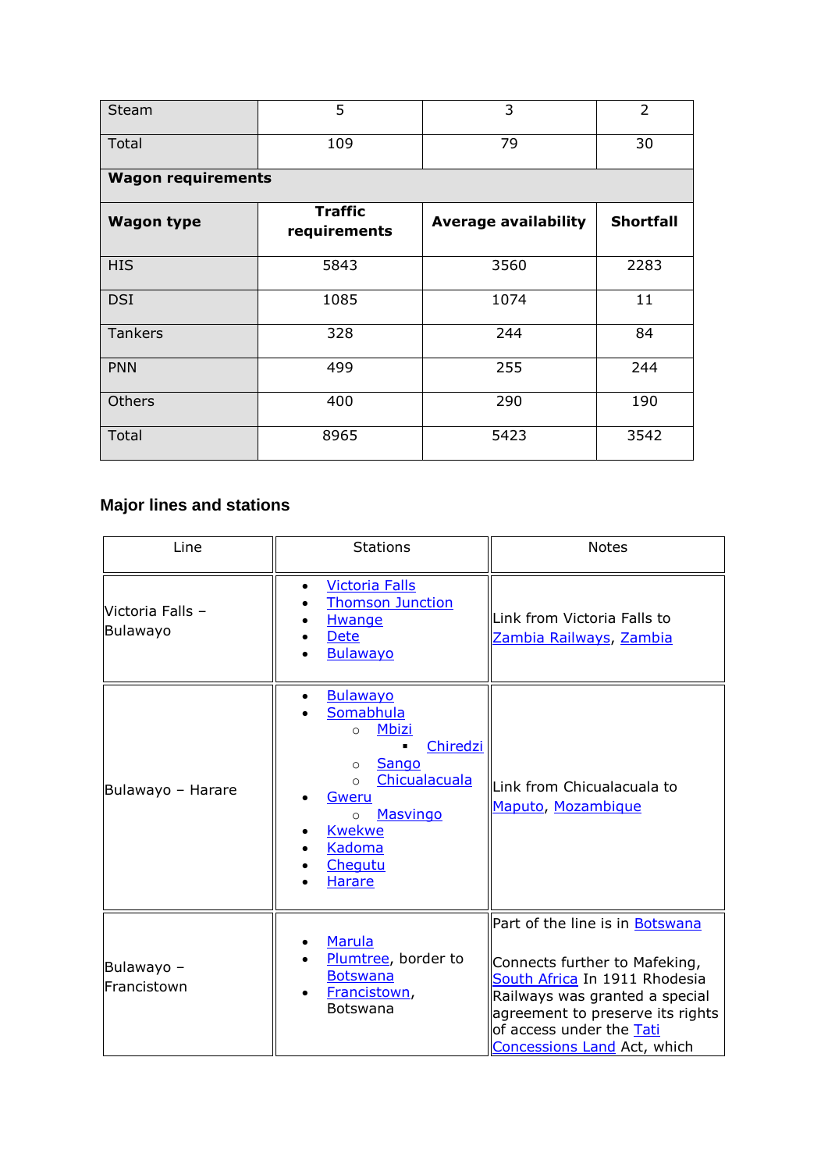| <b>Steam</b>              | 5                              | 3                           | $\overline{2}$   |  |  |  |  |  |
|---------------------------|--------------------------------|-----------------------------|------------------|--|--|--|--|--|
| Total                     | 109                            | 79                          | 30               |  |  |  |  |  |
| <b>Wagon requirements</b> |                                |                             |                  |  |  |  |  |  |
| <b>Wagon type</b>         | <b>Traffic</b><br>requirements | <b>Average availability</b> | <b>Shortfall</b> |  |  |  |  |  |
| <b>HIS</b>                | 5843                           | 3560                        | 2283             |  |  |  |  |  |
| <b>DSI</b>                | 1085                           | 1074                        | 11               |  |  |  |  |  |
| <b>Tankers</b>            | 328                            | 244                         | 84               |  |  |  |  |  |
| <b>PNN</b>                | 499                            | 255                         | 244              |  |  |  |  |  |
| Others                    | 400                            | 290                         | 190              |  |  |  |  |  |
| <b>Total</b>              | 8965                           | 5423                        | 3542             |  |  |  |  |  |

# **Major lines and stations**

| Line                         | <b>Stations</b>                                                                                                                                                                                                                       | <b>Notes</b>                                                                                                                                                                                                                       |
|------------------------------|---------------------------------------------------------------------------------------------------------------------------------------------------------------------------------------------------------------------------------------|------------------------------------------------------------------------------------------------------------------------------------------------------------------------------------------------------------------------------------|
| Victoria Falls –<br>Bulawayo | <b>Victoria Falls</b><br>$\bullet$<br><b>Thomson Junction</b><br><u>Hwange</u><br><b>Dete</b><br><b>Bulawayo</b>                                                                                                                      | Link from Victoria Falls to<br><u>Zambia Railways, Zambia</u>                                                                                                                                                                      |
| Bulawayo - Harare            | <b>Bulawayo</b><br>$\bullet$<br>Somabhula<br><b>Mbizi</b><br>$\circ$<br>Chiredzi<br>Sango<br>$\circ$<br>Chicualacuala<br>$\circ$<br>Gweru<br>Masvingo<br>$\circ$<br><b>Kwekwe</b><br><b>Kadoma</b><br><b>Chequtu</b><br><b>Harare</b> | Link from Chicualacuala to<br>Maputo, Mozambique                                                                                                                                                                                   |
| Bulawayo -<br>Francistown    | Marula<br>Plumtree, border to<br><b>Botswana</b><br>Francistown,<br>$\bullet$<br>Botswana                                                                                                                                             | Part of the line is in Botswana<br>Connects further to Mafeking,<br>South Africa In 1911 Rhodesia<br>Railways was granted a special<br>agreement to preserve its rights<br>of access under the Tati<br>Concessions Land Act, which |